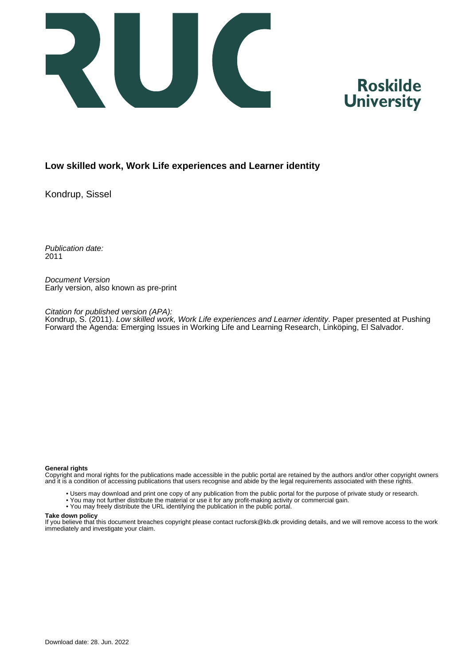



## **Low skilled work, Work Life experiences and Learner identity**

Kondrup, Sissel

Publication date: 2011

Document Version Early version, also known as pre-print

Citation for published version (APA):

Kondrup, S. (2011). *Low skilled work, Work Life experiences and Learner identity*. Paper presented at Pushing Forward the Agenda: Emerging Issues in Working Life and Learning Research, Linköping, El Salvador.

#### **General rights**

Copyright and moral rights for the publications made accessible in the public portal are retained by the authors and/or other copyright owners and it is a condition of accessing publications that users recognise and abide by the legal requirements associated with these rights.

- Users may download and print one copy of any publication from the public portal for the purpose of private study or research.
- You may not further distribute the material or use it for any profit-making activity or commercial gain.
- You may freely distribute the URL identifying the publication in the public portal.

#### **Take down policy**

If you believe that this document breaches copyright please contact rucforsk@kb.dk providing details, and we will remove access to the work immediately and investigate your claim.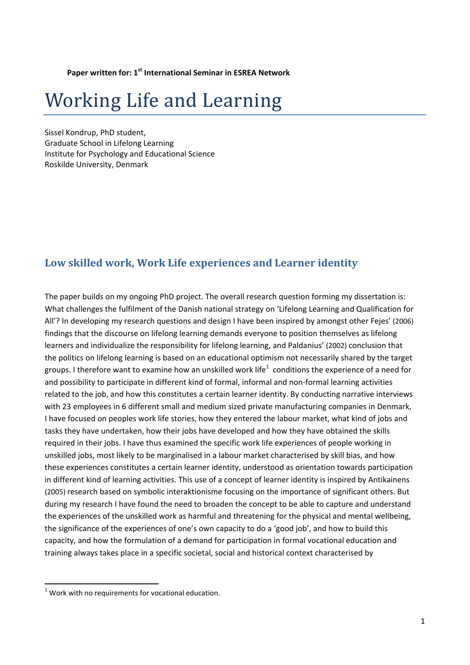**Paper written for: 1st International Seminar in ESREA Network**

# Working Life and Learning

Sissel Kondrup, PhD student, Graduate School in Lifelong Learning Institute for Psychology and Educational Science Roskilde University, Denmark

# **Low skilled work, Work Life experiences and Learner identity**

The paper builds on my ongoing PhD project. The overall research question forming my dissertation is: What challenges the fulfilment of the Danish national strategy on 'Lifelong Learning and Qualification for All'? In developing my research questions and design I have been inspired by amongst other Fejes' (2006) findings that the discourse on lifelong learning demands everyone to position themselves as lifelong learners and individualize the responsibility for lifelong learning, and Paldanius' (2002) conclusion that the politics on lifelong learning is based on an educational optimism not necessarily shared by the target groups. I therefore want to examine how an unskilled work life $^1\,$  conditions the experience of a need for and possibility to participate in different kind of formal, informal and non-formal learning activities related to the job, and how this constitutes a certain learner identity. By conducting narrative interviews with 23 employees in 6 different small and medium sized private manufacturing companies in Denmark, I have focused on peoples work life stories, how they entered the labour market, what kind of jobs and tasks they have undertaken, how their jobs have developed and how they have obtained the skills required in their jobs. I have thus examined the specific work life experiences of people working in unskilled jobs, most likely to be marginalised in a labour market characterised by skill bias, and how these experiences constitutes a certain learner identity, understood as orientation towards participation in different kind of learning activities. This use of a concept of learner identity is inspired by Antikainens (2005) research based on symbolic interaktionisme focusing on the importance of significant others. But during my research I have found the need to broaden the concept to be able to capture and understand the experiences of the unskilled work as harmful and threatening for the physical and mental wellbeing, the significance of the experiences of one's own capacity to do a 'good job', and how to build this capacity, and how the formulation of a demand for participation in formal vocational education and training always takes place in a specific societal, social and historical context characterised by

 $1$  Work with no requirements for vocational education.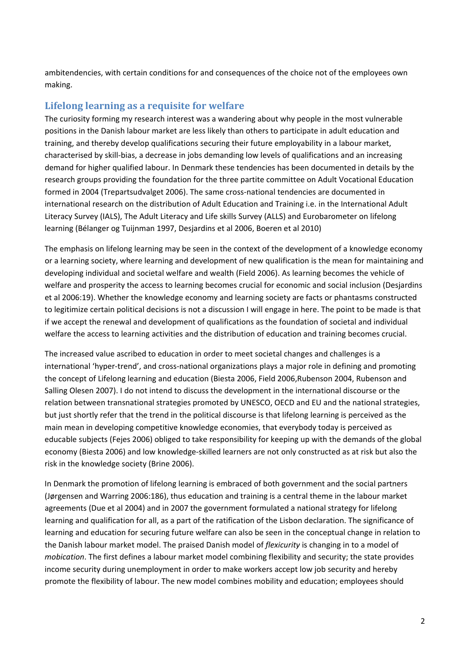ambitendencies, with certain conditions for and consequences of the choice not of the employees own making.

# **Lifelong learning as a requisite for welfare**

The curiosity forming my research interest was a wandering about why people in the most vulnerable positions in the Danish labour market are less likely than others to participate in adult education and training, and thereby develop qualifications securing their future employability in a labour market, characterised by skill‐bias, a decrease in jobs demanding low levels of qualifications and an increasing demand for higher qualified labour. In Denmark these tendencies has been documented in details by the research groups providing the foundation for the three partite committee on Adult Vocational Education formed in 2004 (Trepartsudvalget 2006). The same cross-national tendencies are documented in international research on the distribution of Adult Education and Training i.e. in the International Adult Literacy Survey (IALS), The Adult Literacy and Life skills Survey (ALLS) and Eurobarometer on lifelong learning (Bélanger og Tuijnman 1997, Desjardins et al 2006, Boeren et al 2010)

The emphasis on lifelong learning may be seen in the context of the development of a knowledge economy or a learning society, where learning and development of new qualification is the mean for maintaining and developing individual and societal welfare and wealth (Field 2006). As learning becomes the vehicle of welfare and prosperity the access to learning becomes crucial for economic and social inclusion (Desjardins et al 2006:19). Whether the knowledge economy and learning society are facts or phantasms constructed to legitimize certain political decisions is not a discussion I will engage in here. The point to be made is that if we accept the renewal and development of qualifications as the foundation of societal and individual welfare the access to learning activities and the distribution of education and training becomes crucial.

The increased value ascribed to education in order to meet societal changes and challenges is a international 'hyper‐trend', and cross‐national organizations plays a major role in defining and promoting the concept of Lifelong learning and education (Biesta 2006, Field 2006,Rubenson 2004, Rubenson and Salling Olesen 2007). I do not intend to discuss the development in the international discourse or the relation between transnational strategies promoted by UNESCO, OECD and EU and the national strategies, but just shortly refer that the trend in the political discourse is that lifelong learning is perceived as the main mean in developing competitive knowledge economies, that everybody today is perceived as educable subjects (Fejes 2006) obliged to take responsibility for keeping up with the demands of the global economy (Biesta 2006) and low knowledge‐skilled learners are not only constructed as at risk but also the risk in the knowledge society (Brine 2006).

In Denmark the promotion of lifelong learning is embraced of both government and the social partners (Jørgensen and Warring 2006:186), thus education and training is a central theme in the labour market agreements (Due et al 2004) and in 2007 the government formulated a national strategy for lifelong learning and qualification for all, as a part of the ratification of the Lisbon declaration. The significance of learning and education for securing future welfare can also be seen in the conceptual change in relation to the Danish labour market model. The praised Danish model of *flexicurity* is changing in to a model of *mobication*. The first defines a labour market model combining flexibility and security; the state provides income security during unemployment in order to make workers accept low job security and hereby promote the flexibility of labour. The new model combines mobility and education; employees should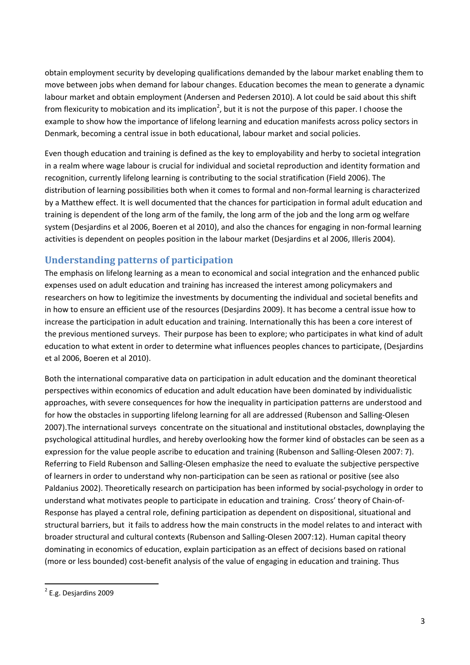obtain employment security by developing qualifications demanded by the labour market enabling them to move between jobs when demand for labour changes. Education becomes the mean to generate a dynamic labour market and obtain employment (Andersen and Pedersen 2010). A lot could be said about this shift from flexicurity to mobication and its implication<sup>2</sup>, but it is not the purpose of this paper. I choose the example to show how the importance of lifelong learning and education manifests across policy sectors in Denmark, becoming a central issue in both educational, labour market and social policies.

Even though education and training is defined as the key to employability and herby to societal integration in a realm where wage labour is crucial for individual and societal reproduction and identity formation and recognition, currently lifelong learning is contributing to the social stratification (Field 2006). The distribution of learning possibilities both when it comes to formal and non‐formal learning is characterized by a Matthew effect. It is well documented that the chances for participation in formal adult education and training is dependent of the long arm of the family, the long arm of the job and the long arm og welfare system (Desjardins et al 2006, Boeren et al 2010), and also the chances for engaging in non-formal learning activities is dependent on peoples position in the labour market (Desjardins et al 2006, Illeris 2004).

# **Understanding patterns of participation**

The emphasis on lifelong learning as a mean to economical and social integration and the enhanced public expenses used on adult education and training has increased the interest among policymakers and researchers on how to legitimize the investments by documenting the individual and societal benefits and in how to ensure an efficient use of the resources (Desjardins 2009). It has become a central issue how to increase the participation in adult education and training. Internationally this has been a core interest of the previous mentioned surveys. Their purpose has been to explore; who participates in what kind of adult education to what extent in order to determine what influences peoples chances to participate, (Desjardins et al 2006, Boeren et al 2010).

Both the international comparative data on participation in adult education and the dominant theoretical perspectives within economics of education and adult education have been dominated by individualistic approaches, with severe consequences for how the inequality in participation patterns are understood and for how the obstacles in supporting lifelong learning for all are addressed (Rubenson and Salling‐Olesen 2007).The international surveys concentrate on the situational and institutional obstacles, downplaying the psychological attitudinal hurdles, and hereby overlooking how the former kind of obstacles can be seen as a expression for the value people ascribe to education and training (Rubenson and Salling-Olesen 2007: 7). Referring to Field Rubenson and Salling‐Olesen emphasize the need to evaluate the subjective perspective of learners in order to understand why non‐participation can be seen as rational or positive (see also Paldanius 2002). Theoretically research on participation has been informed by social‐psychology in order to understand what motivates people to participate in education and training. Cross' theory of Chain‐of‐ Response has played a central role, defining participation as dependent on dispositional, situational and structural barriers, but it fails to address how the main constructs in the model relates to and interact with broader structural and cultural contexts (Rubenson and Salling‐Olesen 2007:12). Human capital theory dominating in economics of education, explain participation as an effect of decisions based on rational (more or less bounded) cost‐benefit analysis of the value of engaging in education and training. Thus

<sup>2</sup> E.g. Desjardins 2009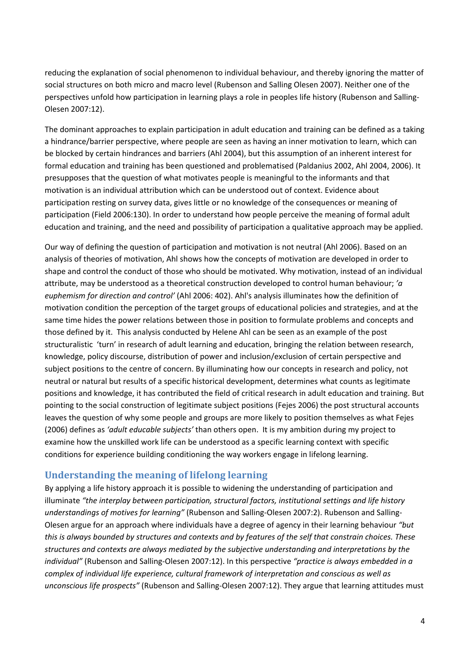reducing the explanation of social phenomenon to individual behaviour, and thereby ignoring the matter of social structures on both micro and macro level (Rubenson and Salling Olesen 2007). Neither one of the perspectives unfold how participation in learning plays a role in peoples life history (Rubenson and Salling‐ Olesen 2007:12).

The dominant approaches to explain participation in adult education and training can be defined as a taking a hindrance/barrier perspective, where people are seen as having an inner motivation to learn, which can be blocked by certain hindrances and barriers (Ahl 2004), but this assumption of an inherent interest for formal education and training has been questioned and problematised (Paldanius 2002, Ahl 2004, 2006). It presupposes that the question of what motivates people is meaningful to the informants and that motivation is an individual attribution which can be understood out of context. Evidence about participation resting on survey data, gives little or no knowledge of the consequences or meaning of participation (Field 2006:130). In order to understand how people perceive the meaning of formal adult education and training, and the need and possibility of participation a qualitative approach may be applied.

Our way of defining the question of participation and motivation is not neutral (Ahl 2006). Based on an analysis of theories of motivation, Ahl shows how the concepts of motivation are developed in order to shape and control the conduct of those who should be motivated. Why motivation, instead of an individual attribute, may be understood as a theoretical construction developed to control human behaviour; *'a euphemism for direction and control'* (Ahl 2006: 402). Ahl's analysis illuminates how the definition of motivation condition the perception of the target groups of educational policies and strategies, and at the same time hides the power relations between those in position to formulate problems and concepts and those defined by it. This analysis conducted by Helene Ahl can be seen as an example of the post structuralistic 'turn' in research of adult learning and education, bringing the relation between research, knowledge, policy discourse, distribution of power and inclusion/exclusion of certain perspective and subject positions to the centre of concern. By illuminating how our concepts in research and policy, not neutral or natural but results of a specific historical development, determines what counts as legitimate positions and knowledge, it has contributed the field of critical research in adult education and training. But pointing to the social construction of legitimate subject positions (Fejes 2006) the post structural accounts leaves the question of why some people and groups are more likely to position themselves as what Fejes (2006) defines as *'adult educable subjects'* than others open. It is my ambition during my project to examine how the unskilled work life can be understood as a specific learning context with specific conditions for experience building conditioning the way workers engage in lifelong learning.

## **Understanding the meaning of lifelong learning**

By applying a life history approach it is possible to widening the understanding of participation and illuminate *"the interplay between participation, structural factors, institutional settings and life history understandings of motives for learning"* (Rubenson and Salling‐Olesen 2007:2). Rubenson and Salling‐ Olesen argue for an approach where individuals have a degree of agency in their learning behaviour *"but* this is always bounded by structures and contexts and by features of the self that constrain choices. These *structures and contexts are always mediated by the subjective understanding and interpretations by the individual"* (Rubenson and Salling‐Olesen 2007:12). In this perspective *"practice is always embedded in a complex of individual life experience, cultural framework of interpretation and conscious as well as unconscious life prospects"* (Rubenson and Salling‐Olesen 2007:12). They argue that learning attitudes must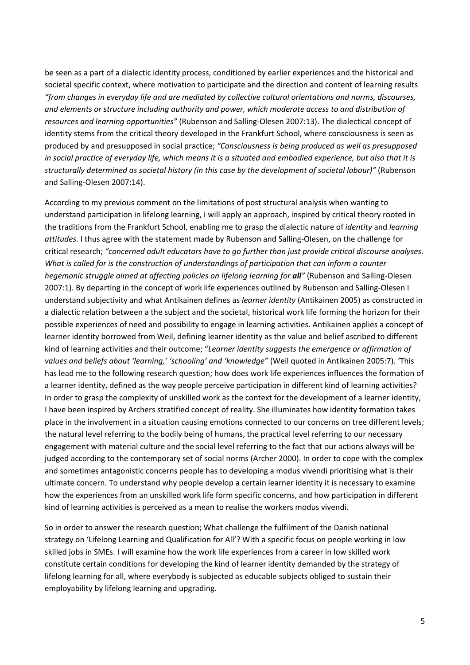be seen as a part of a dialectic identity process, conditioned by earlier experiences and the historical and societal specific context, where motivation to participate and the direction and content of learning results *"from changes in everyday life and are mediated by collective cultural orientations and norms, discourses, and elements or structure including authority and power, which moderate access to and distribution of resources and learning opportunities"* (Rubenson and Salling‐Olesen 2007:13). The dialectical concept of identity stems from the critical theory developed in the Frankfurt School, where consciousness is seen as produced by and presupposed in social practice; *"Consciousness is being produced as well as presupposed* in social practice of everyday life, which means it is a situated and embodied experience, but also that it is *structurally determined as societal history (in this case by the development of societal labour)"* (Rubenson and Salling‐Olesen 2007:14).

According to my previous comment on the limitations of post structural analysis when wanting to understand participation in lifelong learning, I will apply an approach, inspired by critical theory rooted in the traditions from the Frankfurt School, enabling me to grasp the dialectic nature of *identity* and *learning attitudes*. I thus agree with the statement made by Rubenson and Salling‐Olesen, on the challenge for critical research; *"concerned adult educators have to go further than just provide critical discourse analyses. What is called for is the construction of understandings of participation that can inform a counter hegemonic struggle aimed at affecting policies on lifelong learning for all"* (Rubenson and Salling‐Olesen 2007:1). By departing in the concept of work life experiences outlined by Rubenson and Salling‐Olesen I understand subjectivity and what Antikainen defines as *learner identity* (Antikainen 2005) as constructed in a dialectic relation between a the subject and the societal, historical work life forming the horizon for their possible experiences of need and possibility to engage in learning activities. Antikainen applies a concept of learner identity borrowed from Weil, defining learner identity as the value and belief ascribed to different kind of learning activities and their outcome; "*Learner identity suggests the emergence or affirmation of values and beliefs about 'learning,' 'schooling' and 'knowledge"* (Weil quoted in Antikainen 2005:7). *'*This has lead me to the following research question; how does work life experiences influences the formation of a learner identity, defined as the way people perceive participation in different kind of learning activities? In order to grasp the complexity of unskilled work as the context for the development of a learner identity, I have been inspired by Archers stratified concept of reality. She illuminates how identity formation takes place in the involvement in a situation causing emotions connected to our concerns on tree different levels; the natural level referring to the bodily being of humans, the practical level referring to our necessary engagement with material culture and the social level referring to the fact that our actions always will be judged according to the contemporary set of social norms (Archer 2000). In order to cope with the complex and sometimes antagonistic concerns people has to developing a modus vivendi prioritising what is their ultimate concern. To understand why people develop a certain learner identity it is necessary to examine how the experiences from an unskilled work life form specific concerns, and how participation in different kind of learning activities is perceived as a mean to realise the workers modus vivendi.

So in order to answer the research question; What challenge the fulfilment of the Danish national strategy on 'Lifelong Learning and Qualification for All'? With a specific focus on people working in low skilled jobs in SMEs. I will examine how the work life experiences from a career in low skilled work constitute certain conditions for developing the kind of learner identity demanded by the strategy of lifelong learning for all, where everybody is subjected as educable subjects obliged to sustain their employability by lifelong learning and upgrading.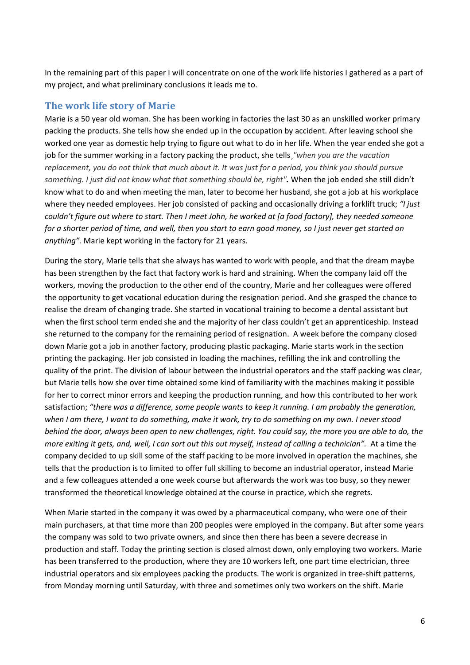In the remaining part of this paper I will concentrate on one of the work life histories I gathered as a part of my project, and what preliminary conclusions it leads me to.

## **The work life story of Marie**

Marie is a 50 year old woman. She has been working in factories the last 30 as an unskilled worker primary packing the products. She tells how she ended up in the occupation by accident. After leaving school she worked one year as domestic help trying to figure out what to do in her life. When the year ended she got a job for the summer working in a factory packing the product, she tells¸*"when you are the vacation* replacement, you do not think that much about it. It was just for a period, you think you should pursue *something. I just did not know what that something should be, right".* When the job ended she still didn't know what to do and when meeting the man, later to become her husband, she got a job at his workplace where they needed employees. Her job consisted of packing and occasionally driving a forklift truck; *"I just* couldn't figure out where to start. Then I meet John, he worked at [a food factory], they needed someone for a shorter period of time, and well, then you start to earn good money, so I just never get started on *anything".* Marie kept working in the factory for 21 years.

During the story, Marie tells that she always has wanted to work with people, and that the dream maybe has been strengthen by the fact that factory work is hard and straining. When the company laid off the workers, moving the production to the other end of the country, Marie and her colleagues were offered the opportunity to get vocational education during the resignation period. And she grasped the chance to realise the dream of changing trade. She started in vocational training to become a dental assistant but when the first school term ended she and the majority of her class couldn't get an apprenticeship. Instead she returned to the company for the remaining period of resignation. A week before the company closed down Marie got a job in another factory, producing plastic packaging. Marie starts work in the section printing the packaging. Her job consisted in loading the machines, refilling the ink and controlling the quality of the print. The division of labour between the industrial operators and the staff packing was clear, but Marie tells how she over time obtained some kind of familiarity with the machines making it possible for her to correct minor errors and keeping the production running, and how this contributed to her work satisfaction; *"there was a difference, some people wants to keep it running. I am probably the generation,* when I am there, I want to do something, make it work, try to do something on my own. I never stood behind the door, always been open to new challenges, right. You could say, the more you are able to do, the more exiting it gets, and, well, I can sort out this out myself, instead of calling a technician". At a time the company decided to up skill some of the staff packing to be more involved in operation the machines, she tells that the production is to limited to offer full skilling to become an industrial operator, instead Marie and a few colleagues attended a one week course but afterwards the work was too busy, so they newer transformed the theoretical knowledge obtained at the course in practice, which she regrets.

When Marie started in the company it was owed by a pharmaceutical company, who were one of their main purchasers, at that time more than 200 peoples were employed in the company. But after some years the company was sold to two private owners, and since then there has been a severe decrease in production and staff. Today the printing section is closed almost down, only employing two workers. Marie has been transferred to the production, where they are 10 workers left, one part time electrician, three industrial operators and six employees packing the products. The work is organized in tree‐shift patterns, from Monday morning until Saturday, with three and sometimes only two workers on the shift. Marie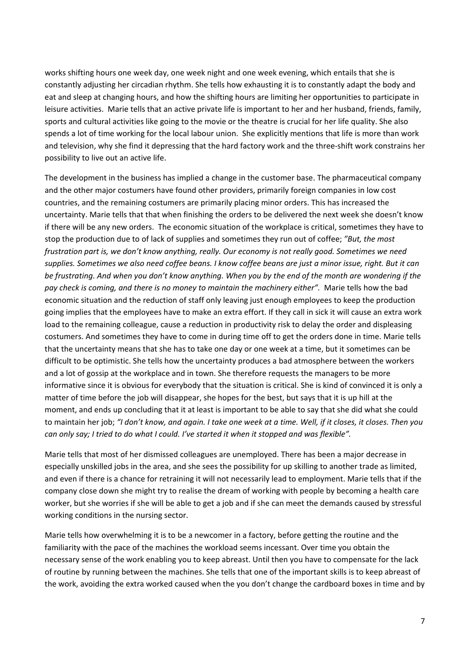works shifting hours one week day, one week night and one week evening, which entails that she is constantly adjusting her circadian rhythm. She tells how exhausting it is to constantly adapt the body and eat and sleep at changing hours, and how the shifting hours are limiting her opportunities to participate in leisure activities. Marie tells that an active private life is important to her and her husband, friends, family, sports and cultural activities like going to the movie or the theatre is crucial for her life quality. She also spends a lot of time working for the local labour union. She explicitly mentions that life is more than work and television, why she find it depressing that the hard factory work and the three‐shift work constrains her possibility to live out an active life.

The development in the business has implied a change in the customer base. The pharmaceutical company and the other major costumers have found other providers, primarily foreign companies in low cost countries, and the remaining costumers are primarily placing minor orders. This has increased the uncertainty. Marie tells that that when finishing the orders to be delivered the next week she doesn't know if there will be any new orders. The economic situation of the workplace is critical, sometimes they have to stop the production due to of lack of supplies and sometimes they run out of coffee; *"But, the most frustration part is, we don't know anything, really. Our economy is not really good. Sometimes we need* supplies. Sometimes we also need coffee beans. I know coffee beans are just a minor issue, right. But it can be frustrating. And when you don't know anything. When you by the end of the month are wondering if the *pay check is coming, and there is no money to maintain the machinery either".* Marie tells how the bad economic situation and the reduction of staff only leaving just enough employees to keep the production going implies that the employees have to make an extra effort. If they call in sick it will cause an extra work load to the remaining colleague, cause a reduction in productivity risk to delay the order and displeasing costumers. And sometimes they have to come in during time off to get the orders done in time. Marie tells that the uncertainty means that she has to take one day or one week at a time, but it sometimes can be difficult to be optimistic. She tells how the uncertainty produces a bad atmosphere between the workers and a lot of gossip at the workplace and in town. She therefore requests the managers to be more informative since it is obvious for everybody that the situation is critical. She is kind of convinced it is only a matter of time before the job will disappear, she hopes for the best, but says that it is up hill at the moment, and ends up concluding that it at least is important to be able to say that she did what she could to maintain her job; "I don't know, and again. I take one week at a time. Well, if it closes, it closes. Then you can only say; I tried to do what I could. I've started it when it stopped and was flexible".

Marie tells that most of her dismissed colleagues are unemployed. There has been a major decrease in especially unskilled jobs in the area, and she sees the possibility for up skilling to another trade as limited, and even if there is a chance for retraining it will not necessarily lead to employment. Marie tells that if the company close down she might try to realise the dream of working with people by becoming a health care worker, but she worries if she will be able to get a job and if she can meet the demands caused by stressful working conditions in the nursing sector.

Marie tells how overwhelming it is to be a newcomer in a factory, before getting the routine and the familiarity with the pace of the machines the workload seems incessant. Over time you obtain the necessary sense of the work enabling you to keep abreast. Until then you have to compensate for the lack of routine by running between the machines. She tells that one of the important skills is to keep abreast of the work, avoiding the extra worked caused when the you don't change the cardboard boxes in time and by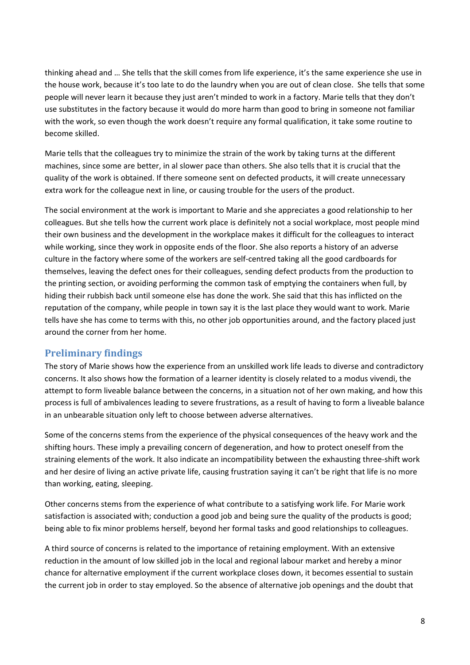thinking ahead and … She tells that the skill comes from life experience, it's the same experience she use in the house work, because it's too late to do the laundry when you are out of clean close. She tells that some people will never learn it because they just aren't minded to work in a factory. Marie tells that they don't use substitutes in the factory because it would do more harm than good to bring in someone not familiar with the work, so even though the work doesn't require any formal qualification, it take some routine to become skilled.

Marie tells that the colleagues try to minimize the strain of the work by taking turns at the different machines, since some are better, in al slower pace than others. She also tells that it is crucial that the quality of the work is obtained. If there someone sent on defected products, it will create unnecessary extra work for the colleague next in line, or causing trouble for the users of the product.

The social environment at the work is important to Marie and she appreciates a good relationship to her colleagues. But she tells how the current work place is definitely not a social workplace, most people mind their own business and the development in the workplace makes it difficult for the colleagues to interact while working, since they work in opposite ends of the floor. She also reports a history of an adverse culture in the factory where some of the workers are self‐centred taking all the good cardboards for themselves, leaving the defect ones for their colleagues, sending defect products from the production to the printing section, or avoiding performing the common task of emptying the containers when full, by hiding their rubbish back until someone else has done the work. She said that this has inflicted on the reputation of the company, while people in town say it is the last place they would want to work. Marie tells have she has come to terms with this, no other job opportunities around, and the factory placed just around the corner from her home.

# **Preliminary findings**

The story of Marie shows how the experience from an unskilled work life leads to diverse and contradictory concerns. It also shows how the formation of a learner identity is closely related to a modus vivendi, the attempt to form liveable balance between the concerns, in a situation not of her own making, and how this process is full of ambivalences leading to severe frustrations, as a result of having to form a liveable balance in an unbearable situation only left to choose between adverse alternatives.

Some of the concerns stems from the experience of the physical consequences of the heavy work and the shifting hours. These imply a prevailing concern of degeneration, and how to protect oneself from the straining elements of the work. It also indicate an incompatibility between the exhausting three‐shift work and her desire of living an active private life, causing frustration saying it can't be right that life is no more than working, eating, sleeping.

Other concerns stems from the experience of what contribute to a satisfying work life. For Marie work satisfaction is associated with; conduction a good job and being sure the quality of the products is good; being able to fix minor problems herself, beyond her formal tasks and good relationships to colleagues.

A third source of concerns is related to the importance of retaining employment. With an extensive reduction in the amount of low skilled job in the local and regional labour market and hereby a minor chance for alternative employment if the current workplace closes down, it becomes essential to sustain the current job in order to stay employed. So the absence of alternative job openings and the doubt that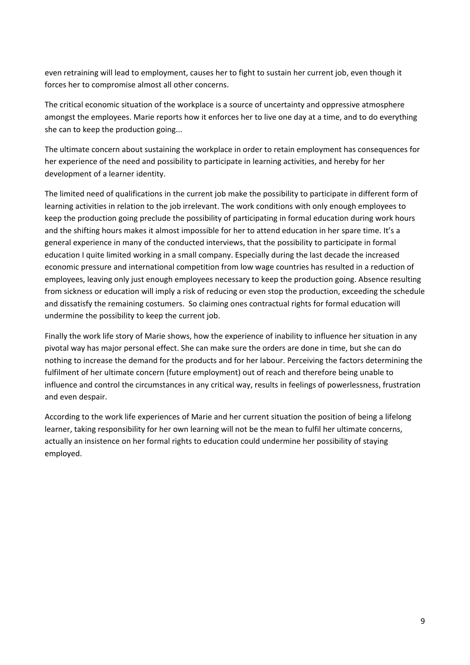even retraining will lead to employment, causes her to fight to sustain her current job, even though it forces her to compromise almost all other concerns.

The critical economic situation of the workplace is a source of uncertainty and oppressive atmosphere amongst the employees. Marie reports how it enforces her to live one day at a time, and to do everything she can to keep the production going...

The ultimate concern about sustaining the workplace in order to retain employment has consequences for her experience of the need and possibility to participate in learning activities, and hereby for her development of a learner identity.

The limited need of qualifications in the current job make the possibility to participate in different form of learning activities in relation to the job irrelevant. The work conditions with only enough employees to keep the production going preclude the possibility of participating in formal education during work hours and the shifting hours makes it almost impossible for her to attend education in her spare time. It's a general experience in many of the conducted interviews, that the possibility to participate in formal education I quite limited working in a small company. Especially during the last decade the increased economic pressure and international competition from low wage countries has resulted in a reduction of employees, leaving only just enough employees necessary to keep the production going. Absence resulting from sickness or education will imply a risk of reducing or even stop the production, exceeding the schedule and dissatisfy the remaining costumers. So claiming ones contractual rights for formal education will undermine the possibility to keep the current job.

Finally the work life story of Marie shows, how the experience of inability to influence her situation in any pivotal way has major personal effect. She can make sure the orders are done in time, but she can do nothing to increase the demand for the products and for her labour. Perceiving the factors determining the fulfilment of her ultimate concern (future employment) out of reach and therefore being unable to influence and control the circumstances in any critical way, results in feelings of powerlessness, frustration and even despair.

According to the work life experiences of Marie and her current situation the position of being a lifelong learner, taking responsibility for her own learning will not be the mean to fulfil her ultimate concerns, actually an insistence on her formal rights to education could undermine her possibility of staying employed.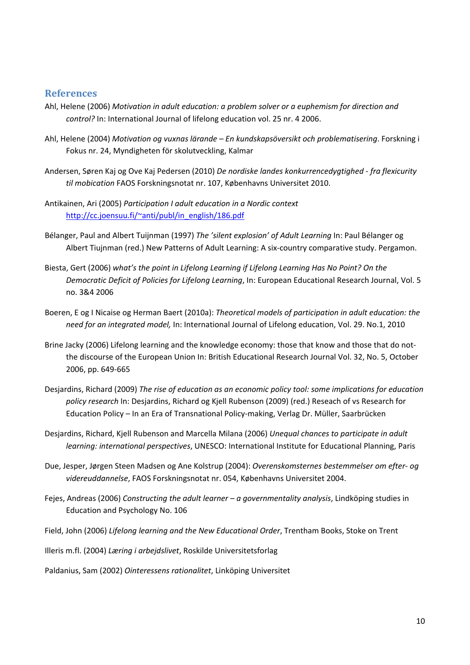#### **References**

- Ahl, Helene (2006) *Motivation in adult education: a problem solver or a euphemism for direction and control?* In: International Journal of lifelong education vol. 25 nr. 4 2006.
- Ahl, Helene (2004) *Motivation og vuxnas lärande – En kundskapsöversikt och problematisering*. Forskning i Fokus nr. 24, Myndigheten för skolutveckling, Kalmar
- Andersen, Søren Kaj og Ove Kaj Pedersen (2010) *De nordiske landes konkurrencedygtighed ‐ fra flexicurity til mobication* FAOS Forskningsnotat nr. 107, Københavns Universitet 2010.
- Antikainen, Ari (2005) *Participation I adult education in a Nordic context* http://cc.joensuu.fi/~anti/publ/in\_english/186.pdf
- Bélanger, Paul and Albert Tuijnman (1997) *The 'silent explosion' of Adult Learning* In: Paul Bélanger og Albert Tiujnman (red.) New Patterns of Adult Learning: A six‐country comparative study. Pergamon.
- Biesta, Gert (2006) *what's the point in Lifelong Learning if Lifelong Learning Has No Point? On the Democratic Deficit of Policies for Lifelong Learning*, In: European Educational Research Journal, Vol. 5 no. 3&4 2006
- Boeren, E og I Nicaise og Herman Baert (2010a): *Theoretical models of participation in adult education: the need for an integrated model,* In: International Journal of Lifelong education, Vol. 29. No.1, 2010
- Brine Jacky (2006) Lifelong learning and the knowledge economy: those that know and those that do not‐ the discourse of the European Union In: British Educational Research Journal Vol. 32, No. 5, October 2006, pp. 649‐665
- Desjardins, Richard (2009) *The rise of education as an economic policy tool: some implications for education policy research* In: Desjardins, Richard og Kjell Rubenson (2009) (red.) Reseach of vs Research for Education Policy – In an Era of Transnational Policy‐making, Verlag Dr. Müller, Saarbrücken
- Desjardins, Richard, Kjell Rubenson and Marcella Milana (2006) *Unequal chances to participate in adult learning: international perspectives*, UNESCO: International Institute for Educational Planning, Paris
- Due, Jesper, Jørgen Steen Madsen og Ane Kolstrup (2004): *Overenskomsternes bestemmelser om efter‐ og videreuddannelse*, FAOS Forskningsnotat nr. 054, Københavns Universitet 2004.
- Fejes, Andreas (2006) *Constructing the adult learner – a governmentality analysis*, Lindköping studies in Education and Psychology No. 106
- Field, John (2006) *Lifelong learning and the New Educational Order*, Trentham Books, Stoke on Trent
- Illeris m.fl. (2004) *Læring i arbejdslivet*, Roskilde Universitetsforlag
- Paldanius, Sam (2002) *Ointeressens rationalitet*, Linköping Universitet